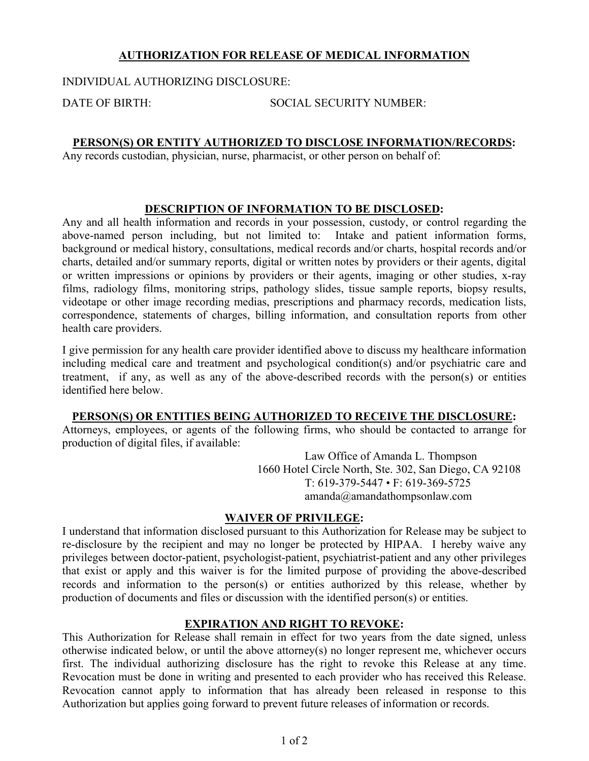# **AUTHORIZATION FOR RELEASE OF MEDICAL INFORMATION**

INDIVIDUAL AUTHORIZING DISCLOSURE:

DATE OF BIRTH: SOCIAL SECURITY NUMBER:

## **PERSON(S) OR ENTITY AUTHORIZED TO DISCLOSE INFORMATION/RECORDS:**

Any records custodian, physician, nurse, pharmacist, or other person on behalf of:

## **DESCRIPTION OF INFORMATION TO BE DISCLOSED:**

Any and all health information and records in your possession, custody, or control regarding the above-named person including, but not limited to: Intake and patient information forms, background or medical history, consultations, medical records and/or charts, hospital records and/or charts, detailed and/or summary reports, digital or written notes by providers or their agents, digital or written impressions or opinions by providers or their agents, imaging or other studies, x-ray films, radiology films, monitoring strips, pathology slides, tissue sample reports, biopsy results, videotape or other image recording medias, prescriptions and pharmacy records, medication lists, correspondence, statements of charges, billing information, and consultation reports from other health care providers.

I give permission for any health care provider identified above to discuss my healthcare information including medical care and treatment and psychological condition(s) and/or psychiatric care and treatment, if any, as well as any of the above-described records with the person(s) or entities identified here below.

#### **PERSON(S) OR ENTITIES BEING AUTHORIZED TO RECEIVE THE DISCLOSURE:**

Attorneys, employees, or agents of the following firms, who should be contacted to arrange for production of digital files, if available:

> Law Office of Amanda L. Thompson 1660 Hotel Circle North, Ste. 302, San Diego, CA 92108 T: 619-379-5447 • F: 619-369-5725 amanda@amandathompsonlaw.com

#### **WAIVER OF PRIVILEGE:**

I understand that information disclosed pursuant to this Authorization for Release may be subject to re-disclosure by the recipient and may no longer be protected by HIPAA. I hereby waive any privileges between doctor-patient, psychologist-patient, psychiatrist-patient and any other privileges that exist or apply and this waiver is for the limited purpose of providing the above-described records and information to the person(s) or entities authorized by this release, whether by production of documents and files or discussion with the identified person(s) or entities.

## **EXPIRATION AND RIGHT TO REVOKE:**

This Authorization for Release shall remain in effect for two years from the date signed, unless otherwise indicated below, or until the above attorney(s) no longer represent me, whichever occurs first. The individual authorizing disclosure has the right to revoke this Release at any time. Revocation must be done in writing and presented to each provider who has received this Release. Revocation cannot apply to information that has already been released in response to this Authorization but applies going forward to prevent future releases of information or records.